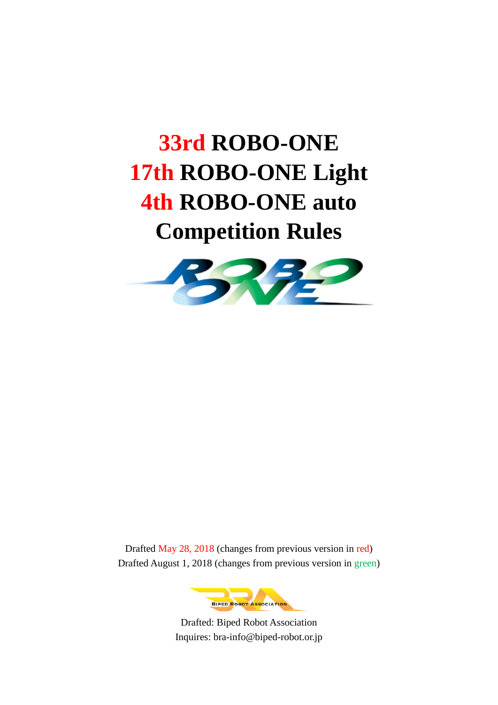# **33rd ROBO-ONE 17th ROBO-ONE Light 4th ROBO-ONE auto Competition Rules**



Drafted May 28, 2018 (changes from previous version in red) Drafted August 1, 2018 (changes from previous version in green)



Drafted: Biped Robot Association Inquires: bra-info@biped-robot.or.jp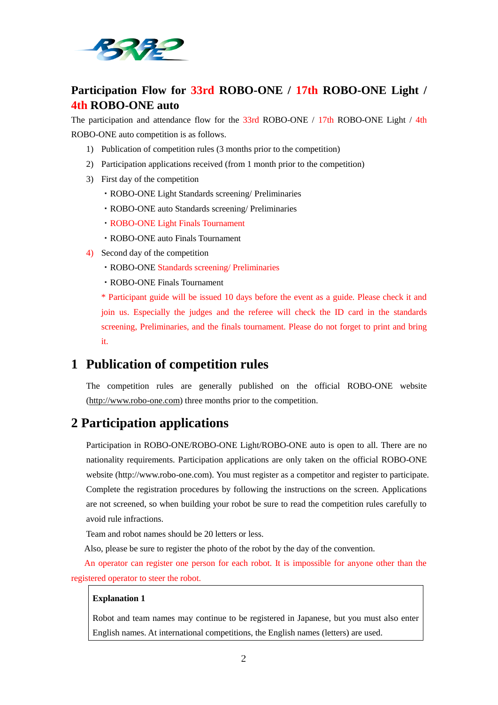

# **Participation Flow for 33rd ROBO-ONE / 17th ROBO-ONE Light / 4th ROBO-ONE auto**

The participation and attendance flow for the  $33rd$  ROBO-ONE /  $17th$  ROBO-ONE Light / 4th ROBO-ONE auto competition is as follows.

- 1) Publication of competition rules (3 months prior to the competition)
- 2) Participation applications received (from 1 month prior to the competition)
- 3) First day of the competition
	- ・ROBO-ONE Light Standards screening/ Preliminaries
	- ・ROBO-ONE auto Standards screening/ Preliminaries
	- ・ROBO-ONE Light Finals Tournament
	- ・ROBO-ONE auto Finals Tournament
- 4) Second day of the competition
	- ・ROBO-ONE Standards screening/ Preliminaries
	- ・ROBO-ONE Finals Tournament

\* Participant guide will be issued 10 days before the event as a guide. Please check it and join us. Especially the judges and the referee will check the ID card in the standards screening, Preliminaries, and the finals tournament. Please do not forget to print and bring it.

# **1 Publication of competition rules**

The competition rules are generally published on the official ROBO-ONE website [\(http://www.robo-one.com\)](http://www.robo-one.com/) three months prior to the competition.

# **2 Participation applications**

Participation in ROBO-ONE/ROBO-ONE Light/ROBO-ONE auto is open to all. There are no nationality requirements. Participation applications are only taken on the official ROBO-ONE website (http://www.robo-one.com). You must register as a competitor and register to participate. Complete the registration procedures by following the instructions on the screen. Applications are not screened, so when building your robot be sure to read the competition rules carefully to avoid rule infractions.

Team and robot names should be 20 letters or less.

Also, please be sure to register the photo of the robot by the day of the convention.

An operator can register one person for each robot. It is impossible for anyone other than the registered operator to steer the robot.

#### **Explanation 1**

Robot and team names may continue to be registered in Japanese, but you must also enter English names. At international competitions, the English names (letters) are used.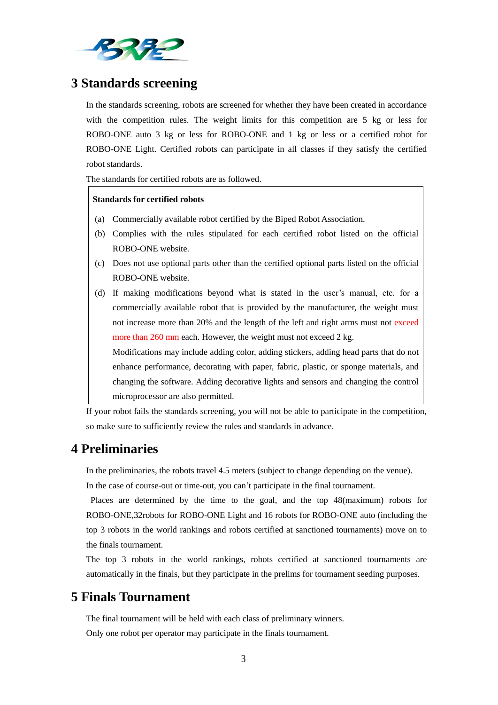

# **3 Standards screening**

In the standards screening, robots are screened for whether they have been created in accordance with the competition rules. The weight limits for this competition are 5 kg or less for ROBO-ONE auto 3 kg or less for ROBO-ONE and 1 kg or less or a certified robot for ROBO-ONE Light. Certified robots can participate in all classes if they satisfy the certified robot standards.

The standards for certified robots are as followed.

#### **Standards for certified robots**

- (a) Commercially available robot certified by the Biped Robot Association.
- (b) Complies with the rules stipulated for each certified robot listed on the official ROBO-ONE website.
- (c) Does not use optional parts other than the certified optional parts listed on the official ROBO-ONE website.
- (d) If making modifications beyond what is stated in the user's manual, etc. for a commercially available robot that is provided by the manufacturer, the weight must not increase more than 20% and the length of the left and right arms must not exceed more than 260 mm each. However, the weight must not exceed 2 kg.

Modifications may include adding color, adding stickers, adding head parts that do not enhance performance, decorating with paper, fabric, plastic, or sponge materials, and changing the software. Adding decorative lights and sensors and changing the control microprocessor are also permitted.

If your robot fails the standards screening, you will not be able to participate in the competition, so make sure to sufficiently review the rules and standards in advance.

# **4 Preliminaries**

In the preliminaries, the robots travel 4.5 meters (subject to change depending on the venue).

In the case of course-out or time-out, you can't participate in the final tournament.

Places are determined by the time to the goal, and the top 48(maximum) robots for ROBO-ONE,32robots for ROBO-ONE Light and 16 robots for ROBO-ONE auto (including the top 3 robots in the world rankings and robots certified at sanctioned tournaments) move on to the finals tournament.

The top 3 robots in the world rankings, robots certified at sanctioned tournaments are automatically in the finals, but they participate in the prelims for tournament seeding purposes.

# **5 Finals Tournament**

The final tournament will be held with each class of preliminary winners.

Only one robot per operator may participate in the finals tournament.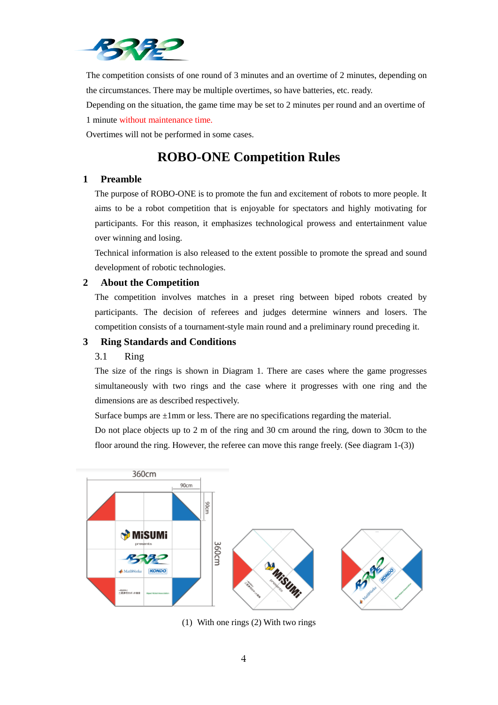

The competition consists of one round of 3 minutes and an overtime of 2 minutes, depending on the circumstances. There may be multiple overtimes, so have batteries, etc. ready.

Depending on the situation, the game time may be set to 2 minutes per round and an overtime of 1 minute without maintenance time.

Overtimes will not be performed in some cases.

# **ROBO-ONE Competition Rules**

# **1 Preamble**

The purpose of ROBO-ONE is to promote the fun and excitement of robots to more people. It aims to be a robot competition that is enjoyable for spectators and highly motivating for participants. For this reason, it emphasizes technological prowess and entertainment value over winning and losing.

Technical information is also released to the extent possible to promote the spread and sound development of robotic technologies.

# **2 About the Competition**

The competition involves matches in a preset ring between biped robots created by participants. The decision of referees and judges determine winners and losers. The competition consists of a tournament-style main round and a preliminary round preceding it.

# **3 Ring Standards and Conditions**

# 3.1 Ring

The size of the rings is shown in Diagram 1. There are cases where the game progresses simultaneously with two rings and the case where it progresses with one ring and the dimensions are as described respectively.

Surface bumps are  $\pm 1$ mm or less. There are no specifications regarding the material.

Do not place objects up to 2 m of the ring and 30 cm around the ring, down to 30cm to the floor around the ring. However, the referee can move this range freely. (See diagram 1-(3))



(1) With one rings (2) With two rings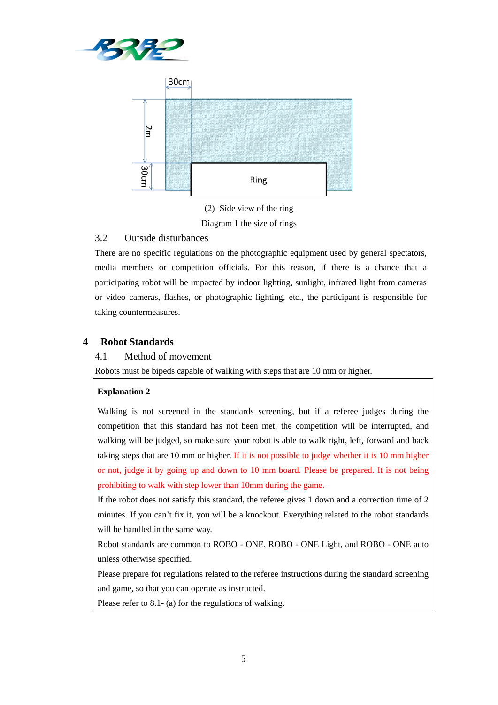



(2) Side view of the ring Diagram 1 the size of rings

# 3.2 Outside disturbances

There are no specific regulations on the photographic equipment used by general spectators, media members or competition officials. For this reason, if there is a chance that a participating robot will be impacted by indoor lighting, sunlight, infrared light from cameras or video cameras, flashes, or photographic lighting, etc., the participant is responsible for taking countermeasures.

# **4 Robot Standards**

# 4.1 Method of movement

Robots must be bipeds capable of walking with steps that are 10 mm or higher.

#### **Explanation 2**

Walking is not screened in the standards screening, but if a referee judges during the competition that this standard has not been met, the competition will be interrupted, and walking will be judged, so make sure your robot is able to walk right, left, forward and back taking steps that are 10 mm or higher. If it is not possible to judge whether it is 10 mm higher or not, judge it by going up and down to 10 mm board. Please be prepared. It is not being prohibiting to walk with step lower than 10mm during the game.

If the robot does not satisfy this standard, the referee gives 1 down and a correction time of 2 minutes. If you can't fix it, you will be a knockout. Everything related to the robot standards will be handled in the same way.

Robot standards are common to ROBO - ONE, ROBO - ONE Light, and ROBO - ONE auto unless otherwise specified.

Please prepare for regulations related to the referee instructions during the standard screening and game, so that you can operate as instructed.

Please refer to 8.1- (a) for the regulations of walking.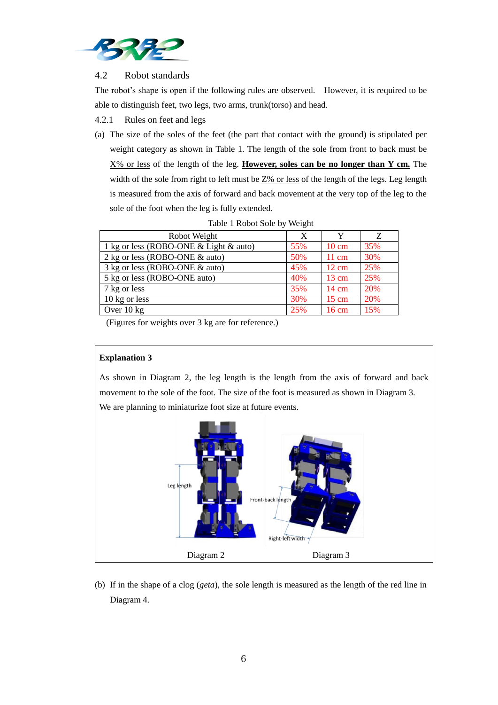

# 4.2 Robot standards

The robot's shape is open if the following rules are observed. However, it is required to be able to distinguish feet, two legs, two arms, trunk(torso) and head.

4.2.1 Rules on feet and legs

(a) The size of the soles of the feet (the part that contact with the ground) is stipulated per weight category as shown in Table 1. The length of the sole from front to back must be X% or less of the length of the leg. **However, soles can be no longer than Y cm.** The width of the sole from right to left must be  $Z\%$  or less of the length of the legs. Leg length is measured from the axis of forward and back movement at the very top of the leg to the sole of the foot when the leg is fully extended.

| Robot Weight                           | X   |                 | Z   |
|----------------------------------------|-----|-----------------|-----|
| 1 kg or less (ROBO-ONE & Light & auto) | 55% | $10 \text{ cm}$ | 35% |
| 2 kg or less (ROBO-ONE & auto)         | 50% | $11 \text{ cm}$ | 30% |
| 3 kg or less (ROBO-ONE & auto)         | 45% | $12 \text{ cm}$ | 25% |
| 5 kg or less (ROBO-ONE auto)           | 40% | $13 \text{ cm}$ | 25% |
| 7 kg or less                           | 35% | $14 \text{ cm}$ | 20% |
| 10 kg or less                          | 30% | $15 \text{ cm}$ | 20% |
| Over $10 \text{ kg}$                   | 25% | $16 \text{ cm}$ | 15% |

Table 1 Robot Sole by Weight

(Figures for weights over 3 kg are for reference.)

## **Explanation 3**

As shown in Diagram 2, the leg length is the length from the axis of forward and back movement to the sole of the foot. The size of the foot is measured as shown in Diagram 3. We are planning to miniaturize foot size at future events.



(b) If in the shape of a clog (*geta*), the sole length is measured as the length of the red line in Diagram 4.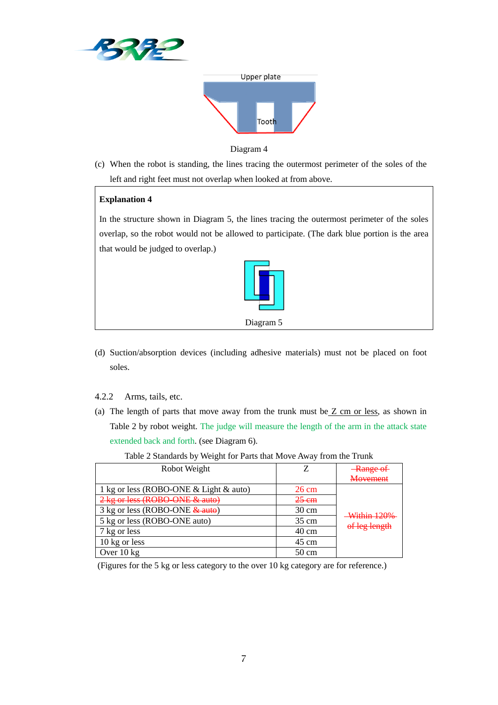



Diagram 4

(c) When the robot is standing, the lines tracing the outermost perimeter of the soles of the left and right feet must not overlap when looked at from above.

# **Explanation 4**

In the structure shown in Diagram 5, the lines tracing the outermost perimeter of the soles overlap, so the robot would not be allowed to participate. (The dark blue portion is the area that would be judged to overlap.)



- (d) Suction/absorption devices (including adhesive materials) must not be placed on foot soles.
- 4.2.2 Arms, tails, etc.
- (a) The length of parts that move away from the trunk must be  $Z$  cm or less, as shown in Table 2 by robot weight. The judge will measure the length of the arm in the attack state extended back and forth. (see Diagram 6).

| Robot Weight                           |                 | <b>Range of</b>              |  |
|----------------------------------------|-----------------|------------------------------|--|
|                                        |                 | <b>Movement</b>              |  |
| 1 kg or less (ROBO-ONE & Light & auto) | $26 \text{ cm}$ | Within 120%<br>of leg length |  |
| 2 kg or less (ROBO-ONE & auto)         | $25 \text{ cm}$ |                              |  |
| 3 kg or less (ROBO-ONE & auto)         | $30 \text{ cm}$ |                              |  |
| 5 kg or less (ROBO-ONE auto)           | $35 \text{ cm}$ |                              |  |
| 7 kg or less                           | $40 \text{ cm}$ |                              |  |
| 10 kg or less                          | $45 \text{ cm}$ |                              |  |
| Over $10 \text{ kg}$                   | $50 \text{ cm}$ |                              |  |

Table 2 Standards by Weight for Parts that Move Away from the Trunk

(Figures for the 5 kg or less category to the over 10 kg category are for reference.)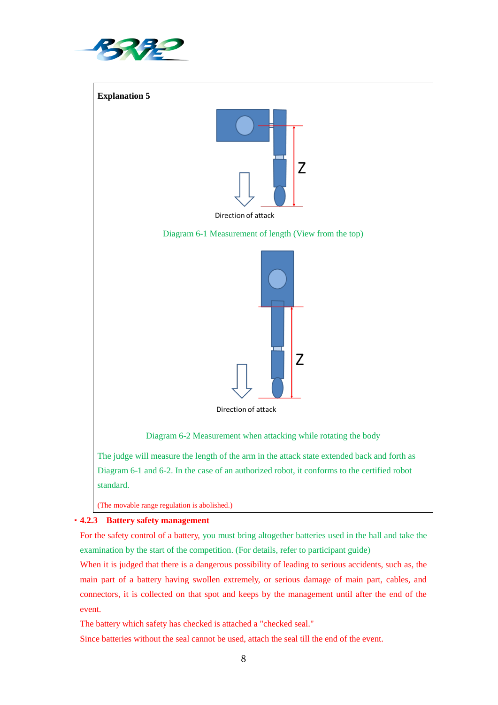



# ・**4.2.3 Battery safety management**

For the safety control of a battery, you must bring altogether batteries used in the hall and take the examination by the start of the competition. (For details, refer to participant guide)

When it is judged that there is a dangerous possibility of leading to serious accidents, such as, the main part of a battery having swollen extremely, or serious damage of main part, cables, and connectors, it is collected on that spot and keeps by the management until after the end of the event.

The battery which safety has checked is attached a "checked seal."

Since batteries without the seal cannot be used, attach the seal till the end of the event.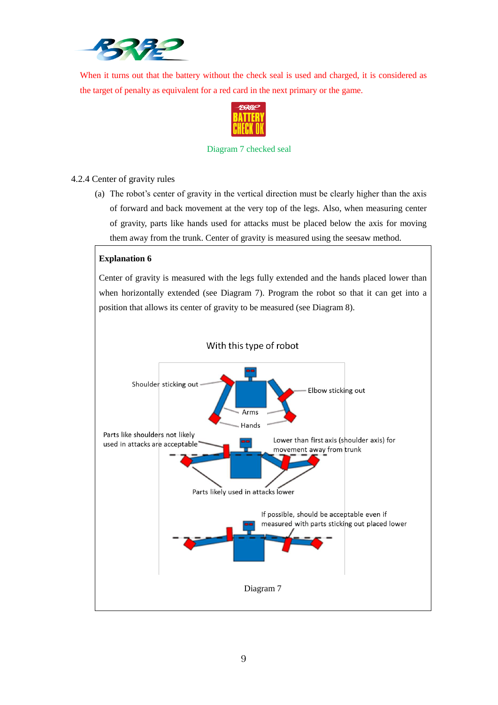

When it turns out that the battery without the check seal is used and charged, it is considered as the target of penalty as equivalent for a red card in the next primary or the game.



#### Diagram 7 checked seal

# 4.2.4 Center of gravity rules

(a) The robot's center of gravity in the vertical direction must be clearly higher than the axis of forward and back movement at the very top of the legs. Also, when measuring center of gravity, parts like hands used for attacks must be placed below the axis for moving them away from the trunk. Center of gravity is measured using the seesaw method.

# **Explanation 6**

Center of gravity is measured with the legs fully extended and the hands placed lower than when horizontally extended (see Diagram 7). Program the robot so that it can get into a position that allows its center of gravity to be measured (see Diagram 8).

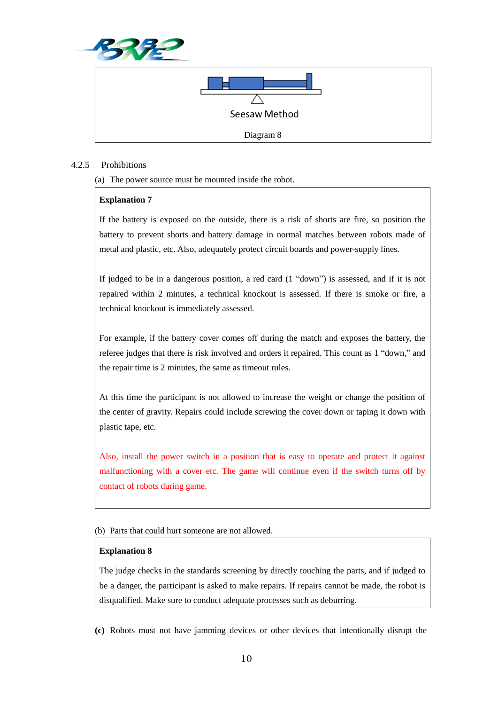



#### 4.2.5 Prohibitions

(a) The power source must be mounted inside the robot.

#### **Explanation 7**

If the battery is exposed on the outside, there is a risk of shorts are fire, so position the battery to prevent shorts and battery damage in normal matches between robots made of metal and plastic, etc. Also, adequately protect circuit boards and power-supply lines.

If judged to be in a dangerous position, a red card (1 "down") is assessed, and if it is not repaired within 2 minutes, a technical knockout is assessed. If there is smoke or fire, a technical knockout is immediately assessed.

For example, if the battery cover comes off during the match and exposes the battery, the referee judges that there is risk involved and orders it repaired. This count as 1 "down," and the repair time is 2 minutes, the same as timeout rules.

At this time the participant is not allowed to increase the weight or change the position of the center of gravity. Repairs could include screwing the cover down or taping it down with plastic tape, etc.

Also, install the power switch in a position that is easy to operate and protect it against malfunctioning with a cover etc. The game will continue even if the switch turns off by contact of robots during game.

(b) Parts that could hurt someone are not allowed.

#### **Explanation 8**

The judge checks in the standards screening by directly touching the parts, and if judged to be a danger, the participant is asked to make repairs. If repairs cannot be made, the robot is disqualified. Make sure to conduct adequate processes such as deburring.

**(c)** Robots must not have jamming devices or other devices that intentionally disrupt the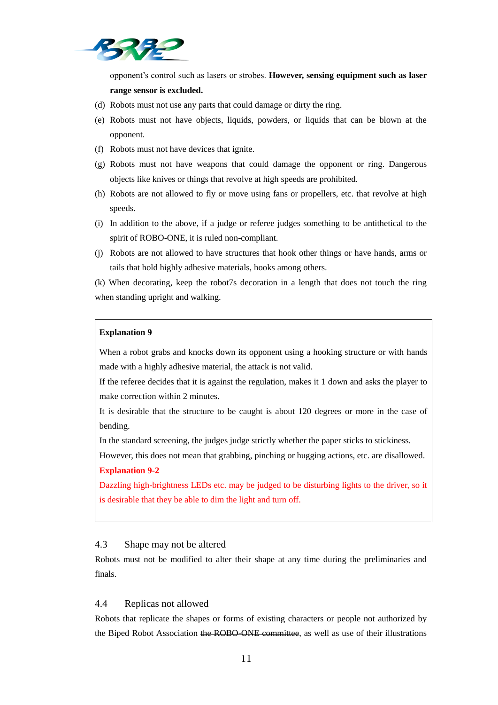

opponent's control such as lasers or strobes. **However, sensing equipment such as laser range sensor is excluded.**

- (d) Robots must not use any parts that could damage or dirty the ring.
- (e) Robots must not have objects, liquids, powders, or liquids that can be blown at the opponent.
- (f) Robots must not have devices that ignite.
- (g) Robots must not have weapons that could damage the opponent or ring. Dangerous objects like knives or things that revolve at high speeds are prohibited.
- (h) Robots are not allowed to fly or move using fans or propellers, etc. that revolve at high speeds.
- (i) In addition to the above, if a judge or referee judges something to be antithetical to the spirit of ROBO-ONE, it is ruled non-compliant.
- (j) Robots are not allowed to have structures that hook other things or have hands, arms or tails that hold highly adhesive materials, hooks among others.

(k) When decorating, keep the robot7s decoration in a length that does not touch the ring when standing upright and walking.

#### **Explanation 9**

When a robot grabs and knocks down its opponent using a hooking structure or with hands made with a highly adhesive material, the attack is not valid.

If the referee decides that it is against the regulation, makes it 1 down and asks the player to make correction within 2 minutes.

It is desirable that the structure to be caught is about 120 degrees or more in the case of bending.

In the standard screening, the judges judge strictly whether the paper sticks to stickiness.

However, this does not mean that grabbing, pinching or hugging actions, etc. are disallowed. **Explanation 9-2**

Dazzling high-brightness LEDs etc. may be judged to be disturbing lights to the driver, so it is desirable that they be able to dim the light and turn off.

#### 4.3 Shape may not be altered

Robots must not be modified to alter their shape at any time during the preliminaries and finals.

#### 4.4 Replicas not allowed

Robots that replicate the shapes or forms of existing characters or people not authorized by the Biped Robot Association the ROBO-ONE committee, as well as use of their illustrations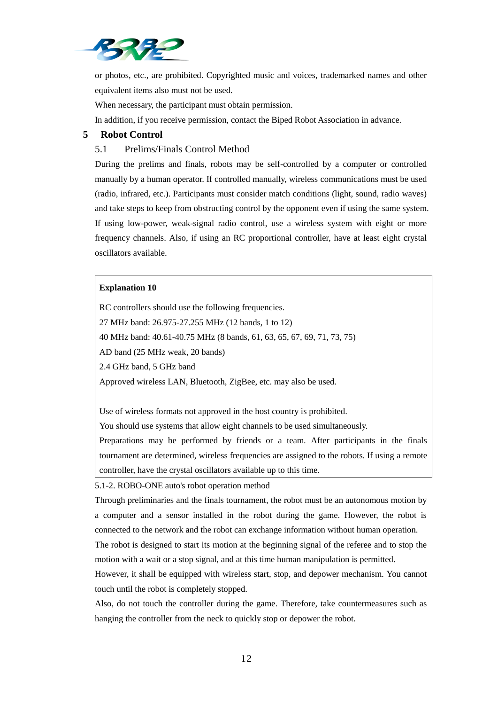

or photos, etc., are prohibited. Copyrighted music and voices, trademarked names and other equivalent items also must not be used.

When necessary, the participant must obtain permission.

In addition, if you receive permission, contact the Biped Robot Association in advance.

## **5 Robot Control**

# 5.1 Prelims/Finals Control Method

During the prelims and finals, robots may be self-controlled by a computer or controlled manually by a human operator. If controlled manually, wireless communications must be used (radio, infrared, etc.). Participants must consider match conditions (light, sound, radio waves) and take steps to keep from obstructing control by the opponent even if using the same system. If using low-power, weak-signal radio control, use a wireless system with eight or more frequency channels. Also, if using an RC proportional controller, have at least eight crystal oscillators available.

#### **Explanation 10**

RC controllers should use the following frequencies. 27 MHz band: 26.975-27.255 MHz (12 bands, 1 to 12) 40 MHz band: 40.61-40.75 MHz (8 bands, 61, 63, 65, 67, 69, 71, 73, 75) AD band (25 MHz weak, 20 bands) 2.4 GHz band, 5 GHz band Approved wireless LAN, Bluetooth, ZigBee, etc. may also be used.

Use of wireless formats not approved in the host country is prohibited.

You should use systems that allow eight channels to be used simultaneously.

Preparations may be performed by friends or a team. After participants in the finals tournament are determined, wireless frequencies are assigned to the robots. If using a remote controller, have the crystal oscillators available up to this time.

5.1-2. ROBO-ONE auto's robot operation method

Through preliminaries and the finals tournament, the robot must be an autonomous motion by a computer and a sensor installed in the robot during the game. However, the robot is connected to the network and the robot can exchange information without human operation.

The robot is designed to start its motion at the beginning signal of the referee and to stop the motion with a wait or a stop signal, and at this time human manipulation is permitted.

However, it shall be equipped with wireless start, stop, and depower mechanism. You cannot touch until the robot is completely stopped.

Also, do not touch the controller during the game. Therefore, take countermeasures such as hanging the controller from the neck to quickly stop or depower the robot.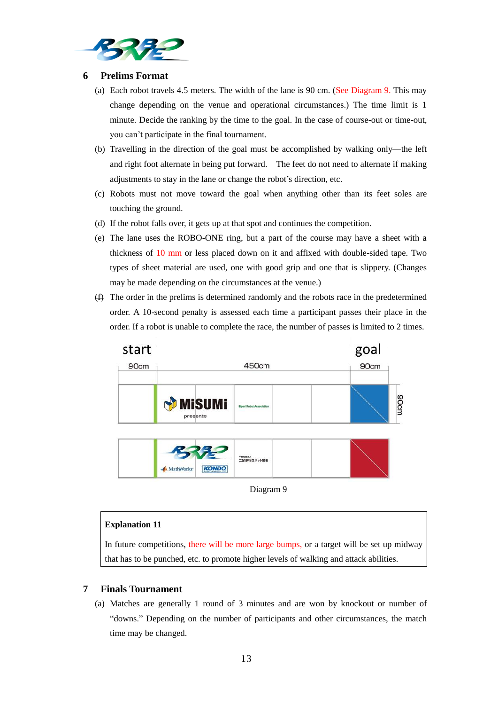

#### **6 Prelims Format**

- (a) Each robot travels 4.5 meters. The width of the lane is 90 cm. (See Diagram 9. This may change depending on the venue and operational circumstances.) The time limit is 1 minute. Decide the ranking by the time to the goal. In the case of course-out or time-out, you can't participate in the final tournament.
- (b) Travelling in the direction of the goal must be accomplished by walking only—the left and right foot alternate in being put forward. The feet do not need to alternate if making adjustments to stay in the lane or change the robot's direction, etc.
- (c) Robots must not move toward the goal when anything other than its feet soles are touching the ground.
- (d) If the robot falls over, it gets up at that spot and continues the competition.
- (e) The lane uses the ROBO-ONE ring, but a part of the course may have a sheet with a thickness of 10 mm or less placed down on it and affixed with double-sided tape. Two types of sheet material are used, one with good grip and one that is slippery. (Changes may be made depending on the circumstances at the venue.)
- (f) The order in the prelims is determined randomly and the robots race in the predetermined order. A 10-second penalty is assessed each time a participant passes their place in the order. If a robot is unable to complete the race, the number of passes is limited to 2 times.





#### **Explanation 11**

In future competitions, there will be more large bumps, or a target will be set up midway that has to be punched, etc. to promote higher levels of walking and attack abilities.

# **7 Finals Tournament**

(a) Matches are generally 1 round of 3 minutes and are won by knockout or number of "downs." Depending on the number of participants and other circumstances, the match time may be changed.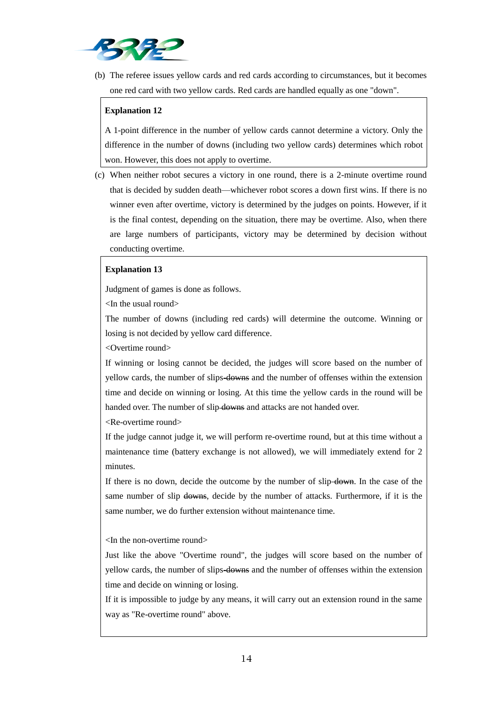

(b) The referee issues yellow cards and red cards according to circumstances, but it becomes one red card with two yellow cards. Red cards are handled equally as one "down".

# **Explanation 12**

A 1-point difference in the number of yellow cards cannot determine a victory. Only the difference in the number of downs (including two yellow cards) determines which robot won. However, this does not apply to overtime.

(c) When neither robot secures a victory in one round, there is a 2-minute overtime round that is decided by sudden death—whichever robot scores a down first wins. If there is no winner even after overtime, victory is determined by the judges on points. However, if it is the final contest, depending on the situation, there may be overtime. Also, when there are large numbers of participants, victory may be determined by decision without conducting overtime.

#### **Explanation 13**

Judgment of games is done as follows.

<In the usual round>

The number of downs (including red cards) will determine the outcome. Winning or losing is not decided by yellow card difference.

<Overtime round>

If winning or losing cannot be decided, the judges will score based on the number of yellow cards, the number of slips-downs and the number of offenses within the extension time and decide on winning or losing. At this time the yellow cards in the round will be handed over. The number of slip downs and attacks are not handed over.

<Re-overtime round>

If the judge cannot judge it, we will perform re-overtime round, but at this time without a maintenance time (battery exchange is not allowed), we will immediately extend for 2 minutes.

If there is no down, decide the outcome by the number of slip down. In the case of the same number of slip downs, decide by the number of attacks. Furthermore, if it is the same number, we do further extension without maintenance time.

<In the non-overtime round>

Just like the above "Overtime round", the judges will score based on the number of yellow cards, the number of slips-downs and the number of offenses within the extension time and decide on winning or losing.

If it is impossible to judge by any means, it will carry out an extension round in the same way as "Re-overtime round" above.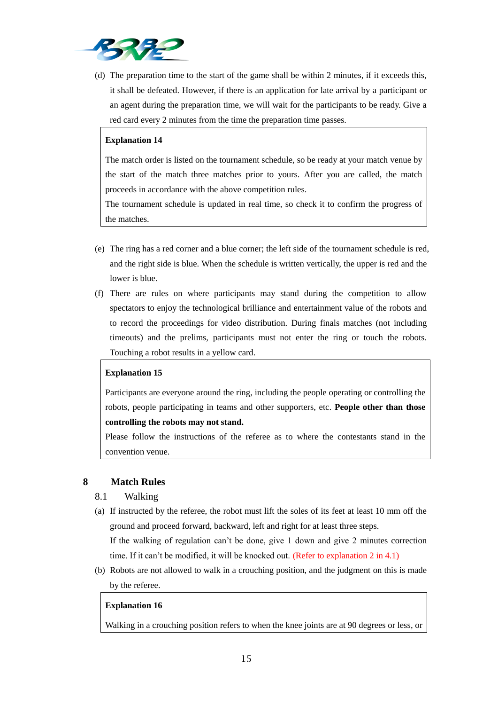

(d) The preparation time to the start of the game shall be within 2 minutes, if it exceeds this, it shall be defeated. However, if there is an application for late arrival by a participant or an agent during the preparation time, we will wait for the participants to be ready. Give a red card every 2 minutes from the time the preparation time passes.

## **Explanation 14**

The match order is listed on the tournament schedule, so be ready at your match venue by the start of the match three matches prior to yours. After you are called, the match proceeds in accordance with the above competition rules.

The tournament schedule is updated in real time, so check it to confirm the progress of the matches.

- (e) The ring has a red corner and a blue corner; the left side of the tournament schedule is red, and the right side is blue. When the schedule is written vertically, the upper is red and the lower is blue.
- (f) There are rules on where participants may stand during the competition to allow spectators to enjoy the technological brilliance and entertainment value of the robots and to record the proceedings for video distribution. During finals matches (not including timeouts) and the prelims, participants must not enter the ring or touch the robots. Touching a robot results in a yellow card.

#### **Explanation 15**

Participants are everyone around the ring, including the people operating or controlling the robots, people participating in teams and other supporters, etc. **People other than those controlling the robots may not stand.** 

Please follow the instructions of the referee as to where the contestants stand in the convention venue.

#### **8 Match Rules**

- 8.1 Walking
- (a) If instructed by the referee, the robot must lift the soles of its feet at least 10 mm off the ground and proceed forward, backward, left and right for at least three steps.

If the walking of regulation can't be done, give 1 down and give 2 minutes correction time. If it can't be modified, it will be knocked out. (Refer to explanation 2 in 4.1)

(b) Robots are not allowed to walk in a crouching position, and the judgment on this is made by the referee.

#### **Explanation 16**

Walking in a crouching position refers to when the knee joints are at 90 degrees or less, or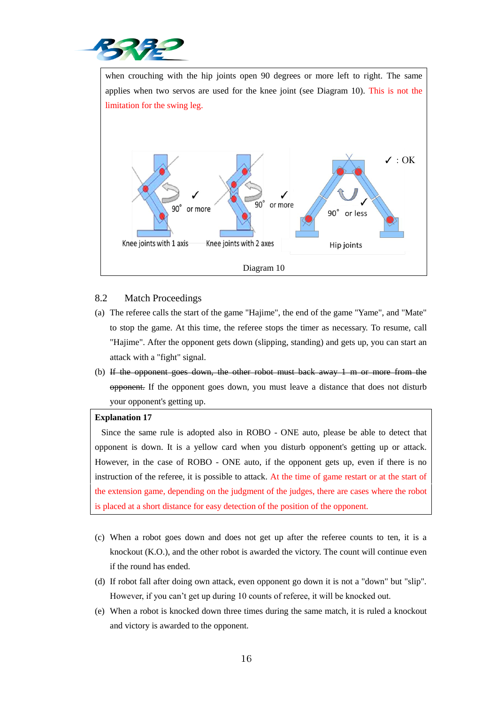

when crouching with the hip joints open 90 degrees or more left to right. The same applies when two servos are used for the knee joint (see Diagram 10). This is not the limitation for the swing leg.  $\checkmark$ : OK or more  $90^\circ$ or more 90° or less Knee joints with 1 axis Knee joints with 2 axes Hip joints Diagram 10

# 8.2 Match Proceedings

- (a) The referee calls the start of the game "Hajime", the end of the game "Yame", and "Mate" to stop the game. At this time, the referee stops the timer as necessary. To resume, call "Hajime". After the opponent gets down (slipping, standing) and gets up, you can start an attack with a "fight" signal.
- (b) If the opponent goes down, the other robot must back away 1 m or more from the opponent. If the opponent goes down, you must leave a distance that does not disturb your opponent's getting up.

#### **Explanation 17**

Since the same rule is adopted also in ROBO - ONE auto, please be able to detect that opponent is down. It is a yellow card when you disturb opponent's getting up or attack. However, in the case of ROBO - ONE auto, if the opponent gets up, even if there is no instruction of the referee, it is possible to attack. At the time of game restart or at the start of the extension game, depending on the judgment of the judges, there are cases where the robot is placed at a short distance for easy detection of the position of the opponent.

- (c) When a robot goes down and does not get up after the referee counts to ten, it is a knockout (K.O.), and the other robot is awarded the victory. The count will continue even if the round has ended.
- (d) If robot fall after doing own attack, even opponent go down it is not a "down" but "slip". However, if you can't get up during 10 counts of referee, it will be knocked out.
- (e) When a robot is knocked down three times during the same match, it is ruled a knockout and victory is awarded to the opponent.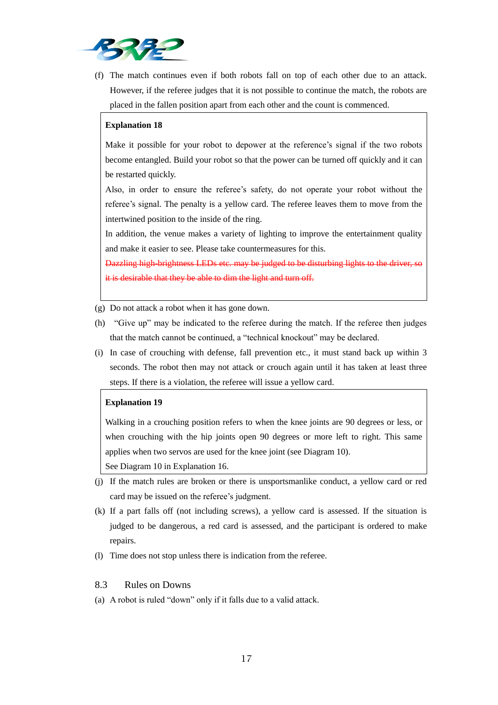

(f) The match continues even if both robots fall on top of each other due to an attack. However, if the referee judges that it is not possible to continue the match, the robots are placed in the fallen position apart from each other and the count is commenced.

#### **Explanation 18**

Make it possible for your robot to depower at the reference's signal if the two robots become entangled. Build your robot so that the power can be turned off quickly and it can be restarted quickly.

Also, in order to ensure the referee's safety, do not operate your robot without the referee's signal. The penalty is a yellow card. The referee leaves them to move from the intertwined position to the inside of the ring.

In addition, the venue makes a variety of lighting to improve the entertainment quality and make it easier to see. Please take countermeasures for this.

Dazzling high-brightness LEDs etc. may be judged to be disturbing lights to the it is desirable that they be able to dim the light and turn off.

(g) Do not attack a robot when it has gone down.

- (h) "Give up" may be indicated to the referee during the match. If the referee then judges that the match cannot be continued, a "technical knockout" may be declared.
- (i) In case of crouching with defense, fall prevention etc., it must stand back up within 3 seconds. The robot then may not attack or crouch again until it has taken at least three steps. If there is a violation, the referee will issue a yellow card.

#### **Explanation 19**

Walking in a crouching position refers to when the knee joints are 90 degrees or less, or when crouching with the hip joints open 90 degrees or more left to right. This same applies when two servos are used for the knee joint (see Diagram 10).

See Diagram 10 in Explanation 16.

- (j) If the match rules are broken or there is unsportsmanlike conduct, a yellow card or red card may be issued on the referee's judgment.
- (k) If a part falls off (not including screws), a yellow card is assessed. If the situation is judged to be dangerous, a red card is assessed, and the participant is ordered to make repairs.
- (l) Time does not stop unless there is indication from the referee.

#### 8.3 Rules on Downs

(a) A robot is ruled "down" only if it falls due to a valid attack.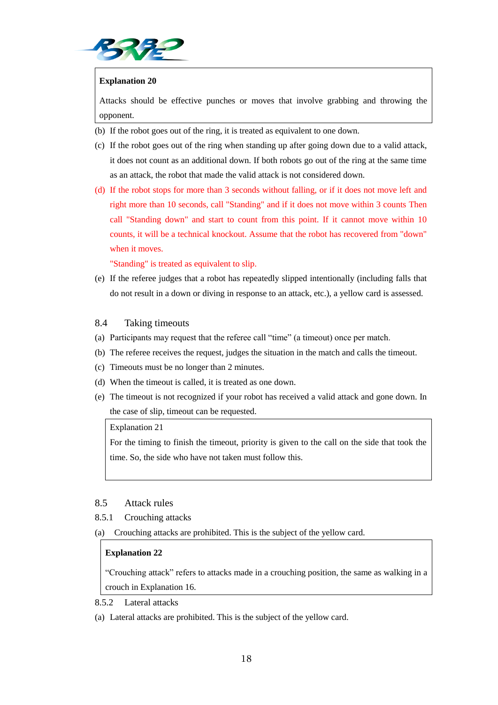

#### **Explanation 20**

Attacks should be effective punches or moves that involve grabbing and throwing the opponent.

- (b) If the robot goes out of the ring, it is treated as equivalent to one down.
- (c) If the robot goes out of the ring when standing up after going down due to a valid attack, it does not count as an additional down. If both robots go out of the ring at the same time as an attack, the robot that made the valid attack is not considered down.
- (d) If the robot stops for more than 3 seconds without falling, or if it does not move left and right more than 10 seconds, call "Standing" and if it does not move within 3 counts Then call "Standing down" and start to count from this point. If it cannot move within 10 counts, it will be a technical knockout. Assume that the robot has recovered from "down" when it moves.

"Standing" is treated as equivalent to slip.

(e) If the referee judges that a robot has repeatedly slipped intentionally (including falls that do not result in a down or diving in response to an attack, etc.), a yellow card is assessed.

#### 8.4 Taking timeouts

- (a) Participants may request that the referee call "time" (a timeout) once per match.
- (b) The referee receives the request, judges the situation in the match and calls the timeout.
- (c) Timeouts must be no longer than 2 minutes.
- (d) When the timeout is called, it is treated as one down.
- (e) The timeout is not recognized if your robot has received a valid attack and gone down. In the case of slip, timeout can be requested.

#### Explanation 21

For the timing to finish the timeout, priority is given to the call on the side that took the time. So, the side who have not taken must follow this.

#### 8.5 Attack rules

#### 8.5.1 Crouching attacks

(a) Crouching attacks are prohibited. This is the subject of the yellow card.

#### **Explanation 22**

"Crouching attack" refers to attacks made in a crouching position, the same as walking in a crouch in Explanation 16.

8.5.2 Lateral attacks

(a) Lateral attacks are prohibited. This is the subject of the yellow card.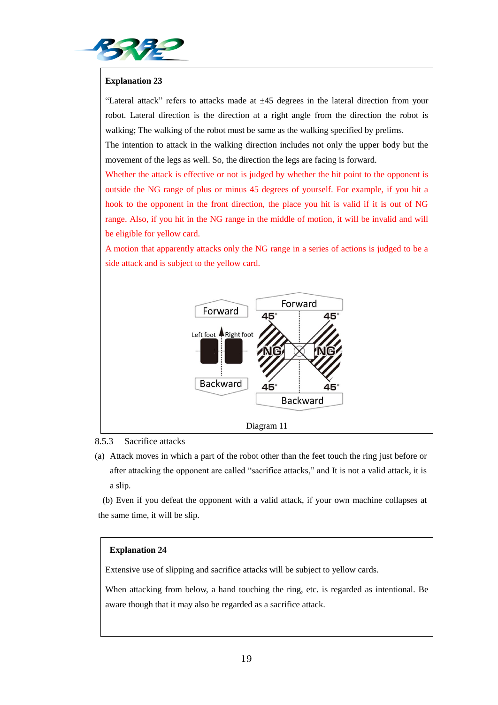

# **Explanation 23**

"Lateral attack" refers to attacks made at  $\pm 45$  degrees in the lateral direction from your robot. Lateral direction is the direction at a right angle from the direction the robot is walking; The walking of the robot must be same as the walking specified by prelims.

The intention to attack in the walking direction includes not only the upper body but the movement of the legs as well. So, the direction the legs are facing is forward.

Whether the attack is effective or not is judged by whether the hit point to the opponent is outside the NG range of plus or minus 45 degrees of yourself. For example, if you hit a hook to the opponent in the front direction, the place you hit is valid if it is out of NG range. Also, if you hit in the NG range in the middle of motion, it will be invalid and will be eligible for yellow card.

A motion that apparently attacks only the NG range in a series of actions is judged to be a side attack and is subject to the yellow card.



#### 8.5.3 Sacrifice attacks

(a) Attack moves in which a part of the robot other than the feet touch the ring just before or after attacking the opponent are called "sacrifice attacks," and It is not a valid attack, it is a slip.

(b) Even if you defeat the opponent with a valid attack, if your own machine collapses at the same time, it will be slip.

#### **Explanation 24**

Extensive use of slipping and sacrifice attacks will be subject to yellow cards.

When attacking from below, a hand touching the ring, etc. is regarded as intentional. Be aware though that it may also be regarded as a sacrifice attack.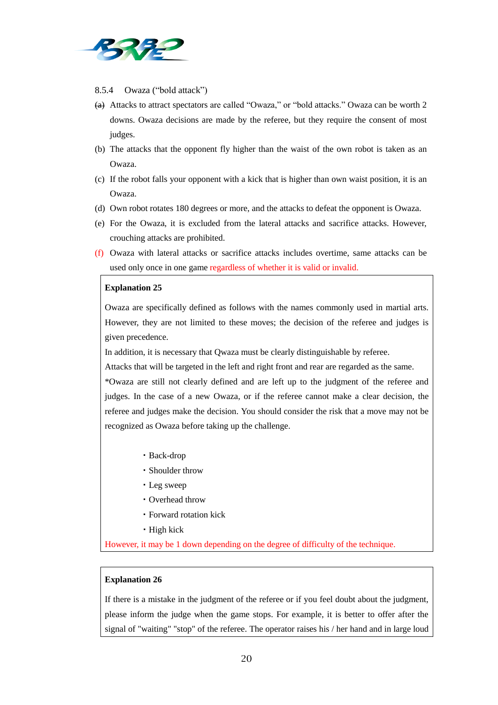

#### 8.5.4 Owaza ("bold attack")

- (a) Attacks to attract spectators are called "Owaza," or "bold attacks." Owaza can be worth 2 downs. Owaza decisions are made by the referee, but they require the consent of most judges.
- (b) The attacks that the opponent fly higher than the waist of the own robot is taken as an Owaza.
- (c) If the robot falls your opponent with a kick that is higher than own waist position, it is an Owaza.
- (d) Own robot rotates 180 degrees or more, and the attacks to defeat the opponent is Owaza.
- (e) For the Owaza, it is excluded from the lateral attacks and sacrifice attacks. However, crouching attacks are prohibited.
- (f) Owaza with lateral attacks or sacrifice attacks includes overtime, same attacks can be used only once in one game regardless of whether it is valid or invalid.

#### **Explanation 25**

Owaza are specifically defined as follows with the names commonly used in martial arts. However, they are not limited to these moves; the decision of the referee and judges is given precedence.

In addition, it is necessary that Qwaza must be clearly distinguishable by referee.

Attacks that will be targeted in the left and right front and rear are regarded as the same.

\*Owaza are still not clearly defined and are left up to the judgment of the referee and judges. In the case of a new Owaza, or if the referee cannot make a clear decision, the referee and judges make the decision. You should consider the risk that a move may not be recognized as Owaza before taking up the challenge.

- ・Back-drop
- ・Shoulder throw
- ・Leg sweep
- ・Overhead throw
- ・Forward rotation kick
- ・High kick

However, it may be 1 down depending on the degree of difficulty of the technique.

#### **Explanation 26**

If there is a mistake in the judgment of the referee or if you feel doubt about the judgment, please inform the judge when the game stops. For example, it is better to offer after the signal of "waiting" "stop" of the referee. The operator raises his / her hand and in large loud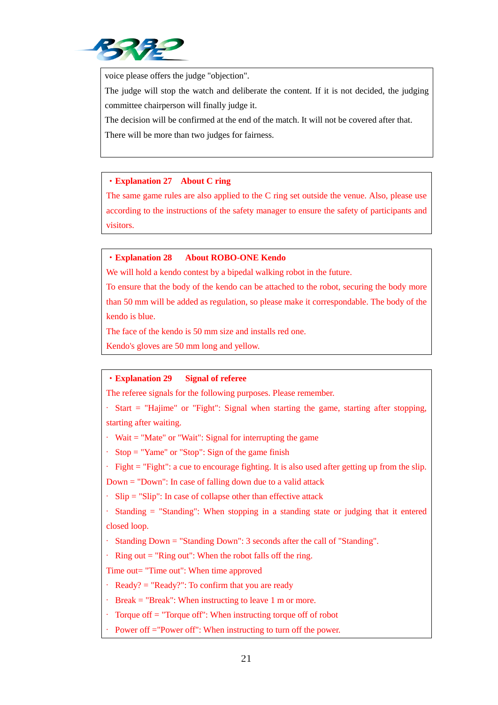

voice please offers the judge "objection".

The judge will stop the watch and deliberate the content. If it is not decided, the judging committee chairperson will finally judge it.

The decision will be confirmed at the end of the match. It will not be covered after that.

There will be more than two judges for fairness.

# ・**Explanation 27 About C ring**

The same game rules are also applied to the C ring set outside the venue. Also, please use according to the instructions of the safety manager to ensure the safety of participants and visitors.

# ・**Explanation 28 About ROBO-ONE Kendo**

We will hold a kendo contest by a bipedal walking robot in the future.

To ensure that the body of the kendo can be attached to the robot, securing the body more than 50 mm will be added as regulation, so please make it correspondable. The body of the kendo is blue.

The face of the kendo is 50 mm size and installs red one.

Kendo's gloves are 50 mm long and yellow.

# ・**Explanation 29 Signal of referee**

The referee signals for the following purposes. Please remember.

· Start = "Hajime" or "Fight": Signal when starting the game, starting after stopping, starting after waiting.

 $\cdot$  Wait = "Mate" or "Wait": Signal for interrupting the game

· Stop = "Yame" or "Stop": Sign of the game finish

· Fight = "Fight": a cue to encourage fighting. It is also used after getting up from the slip.

Down = "Down": In case of falling down due to a valid attack

· Slip = "Slip": In case of collapse other than effective attack

· Standing = "Standing": When stopping in a standing state or judging that it entered closed loop.

· Standing Down = "Standing Down": 3 seconds after the call of "Standing".

 $\cdot$  Ring out = "Ring out": When the robot falls off the ring.

Time out= "Time out": When time approved

- $\cdot$  Ready? = "Ready?": To confirm that you are ready
- $\cdot$  Break = "Break": When instructing to leave 1 m or more.
- · Torque off = "Torque off": When instructing torque off of robot
- Power off ="Power off": When instructing to turn off the power.